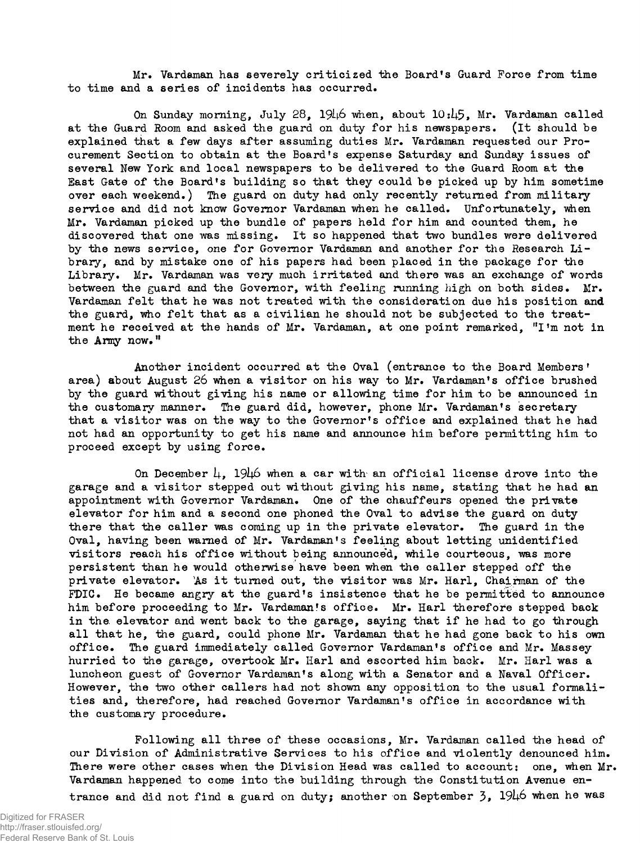Mr. Vardaman has severely criticized the Board's Guard Force from time to time and a series of incidents has occurred.

On Sunday morning, July 28, *19l\6* "when, about *IQibfr,* Mr. Vardaman called at the Guard Room and asked the guard on duty for his newspapers, (it should be explained that a few days after assuming duties Mr. Vardaman requested our Procurement Section to obtain at the Board's expense Saturday and Sunday issues of several New York and local newspapers to be delivered to the Guard Room at the Bast Gate of the Board's building so that they could be picked up by him sometime over each weekend.) The guard on duty had only recently returned from military service and did not know Governor Vardaman when he called. Unfortunately, when Mr. Vardaman picked up the bundle of papers held for him and counted them, he discovered that one was missing. It so happened that two bundles were delivered by the news service, one for Governor Vardaman and another for the Research Library, and by mistake one of his papers had been placed in the package for the Library. Mr. Vardaman was very much irritated and there was an exchange of words between the guard and the Governor, with feeling running high on both sides. Mr. Vardaman felt that he was not treated with the consideration due his position and the guard, who felt that as a civilian he should not be subjected to the treatment he received at the hands of Mr. Vardaman, at one point remarked, "I'm not in the Army now."

Another incident occurred at the Oval (entrance to the Board Members' area) about August 26 when a visitor on his way to Mr. Vardaman's office brushed by the guard without giving his name or allowing time for him to be announced in the customary manner. The guard did, however, phone Mr. Vardaman's secretary that a visitor was on the way to the Governor's office and explained that he had not had an opportunity to get his name and announce him before permitting him to proceed except by using force.

On December  $\mu$ , 19 $\mu$  when a car with an official license drove into the garage and a visitor stepped out without giving his name, stating that he had an appointment with Governor Vardaman. One of the chauffeurs opened the private elevator for him and a second one phoned the Oval to advise the guard on duty there that the caller was coming up in the private elevator. The guard in the Oval, having been warned of Mr. Vardaman's feeling about letting unidentified visitors reach his office without being announced, while courteous, was more persistent than he would otherwise have been when the caller stepped off the private elevator. As it turned out, the visitor was Mr. Harl, Chairman of the FDIC. He became angry at the guard's insistence that he be permitted to announce him before proceeding to Mr. Vardaman's office. Mr. Harl therefore stepped back in the. elevator and went back to the garage, saying that if he had to go through all that he, the guard, could phone Mr. Vardaman that he had gone back to his own office. The guard immediately called Governor Vardaman's office and Mr. Massey hurried to the garage, overtook Mr. Harl and escorted him back. Mr. Harl was a luncheon guest of Governor Vardaman's along with a Senator and a Naval Officer. However, the two other callers had not shown any opposition to the usual formalities and, therefore, had reached Governor Vardaman's office in accordance with the customary procedure.

Following all three of these occasions, Mr. Vardaman called the head of our Division of Administrative Services to his office and violently denounced him. There were other cases when the Division Head was called to account: one, when Mr. Vardaman happened to come into the building through the Constitution Avenue entrance and did not find a guard on duty; another on September  $3$ ,  $1946$  when he was